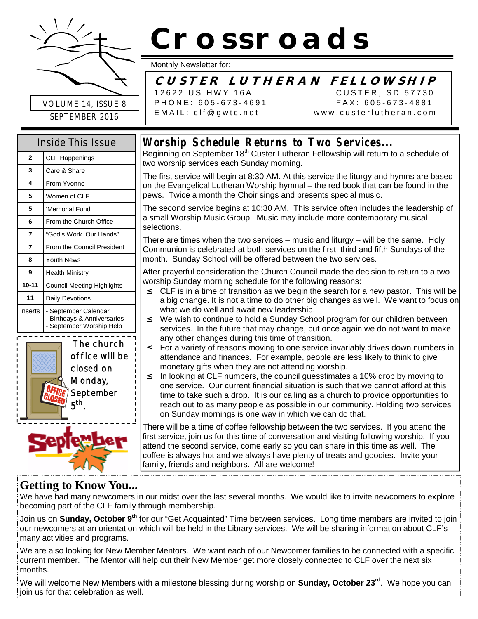

SEPTEMBER 2016

# **Crossroads**

Monthly Newsletter for:

## **CUSTER L UTHERAN FELL O W SHIP**

12622 US HWY 16A CUSTER, SD 57730 PHONE: 605-673-4691 FAX: 605-673-4881 EMAIL: clf@gwtc.net www.custerlutheran.com

| Inside This Issue |                                                                                 |  |  |
|-------------------|---------------------------------------------------------------------------------|--|--|
| $\overline{2}$    | <b>CLF Happenings</b>                                                           |  |  |
| 3                 | Care & Share                                                                    |  |  |
| 4                 | From Yvonne                                                                     |  |  |
| 5                 | Women of CLF                                                                    |  |  |
| 5                 | 'Memorial Fund                                                                  |  |  |
| 6                 | From the Church Office                                                          |  |  |
| 7                 | "God's Work, Our Hands"                                                         |  |  |
| 7                 | From the Council President                                                      |  |  |
| 8                 | Youth News                                                                      |  |  |
| 9                 | <b>Health Ministry</b>                                                          |  |  |
| $10 - 11$         | <b>Council Meeting Highlights</b>                                               |  |  |
| 11                | Daily Devotions                                                                 |  |  |
| Inserts           | - September Calendar<br>- Birthdays & Anniversaries<br>- September Worship Help |  |  |
|                   |                                                                                 |  |  |





Beginning on September 18<sup>th</sup> Custer Lutheran Fellowship will return to a schedule of two worship services each Sunday morning.

The first service will begin at 8:30 AM. At this service the liturgy and hymns are based on the Evangelical Lutheran Worship hymnal – the red book that can be found in the pews. Twice a month the Choir sings and presents special music.

The second service begins at 10:30 AM. This service often includes the leadership of a small Worship Music Group. Music may include more contemporary musical selections.

There are times when the two services – music and liturgy – will be the same. Holy Communion is celebrated at both services on the first, third and fifth Sundays of the month. Sunday School will be offered between the two services.

After prayerful consideration the Church Council made the decision to return to a two worship Sunday morning schedule for the following reasons:

- $2$  CLF is in a time of transition as we begin the search for a new pastor. This will be a big change. It is not a time to do other big changes as well. We want to focus on what we do well and await new leadership.
- $\frac{2}{1}$  We wish to continue to hold a Sunday School program for our children between services. In the future that may change, but once again we do not want to make any other changes during this time of transition.
- $2^{\circ}$  For a variety of reasons moving to one service invariably drives down numbers in attendance and finances. For example, people are less likely to think to give monetary gifts when they are not attending worship.
- $\frac{2}{1}$  In looking at CLF numbers, the council guesstimates a 10% drop by moving to one service. Our current financial situation is such that we cannot afford at this time to take such a drop. It is our calling as a church to provide opportunities to reach out to as many people as possible in our community. Holding two services on Sunday mornings is one way in which we can do that.

There will be a time of coffee fellowship between the two services. If you attend the first service, join us for this time of conversation and visiting following worship. If you attend the second service, come early so you can share in this time as well. The coffee is always hot and we always have plenty of treats and goodies. Invite your family, friends and neighbors. All are welcome!

#### 

## **Getting to Know You...**

We have had many newcomers in our midst over the last several months. We would like to invite newcomers to explore becoming part of the CLF family through membership.

Join us on **Sunday, October 9th** for our "Get Acquainted" Time between services. Long time members are invited to join our newcomers at an orientation which will be held in the Library services. We will be sharing information about CLF's many activities and programs.

We are also looking for New Member Mentors. We want each of our Newcomer families to be connected with a specific current member. The Mentor will help out their New Member get more closely connected to CLF over the next six months.

We will welcome New Members with a milestone blessing during worship on **Sunday, October 23rd**. We hope you can  $!$  ioin us for that celebration as well.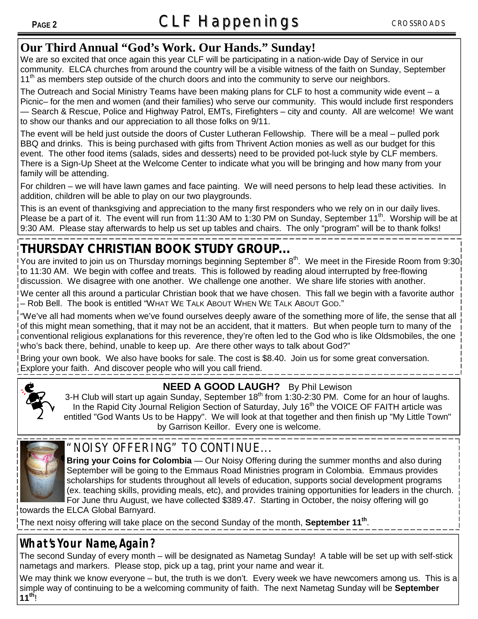### **Our Third Annual "God's Work. Our Hands." Sunday!**

We are so excited that once again this year CLF will be participating in a nation-wide Day of Service in our community. ELCA churches from around the country will be a visible witness of the faith on Sunday, September 11<sup>th</sup> as members step outside of the church doors and into the community to serve our neighbors.

The Outreach and Social Ministry Teams have been making plans for CLF to host a community wide event – a Picnic– for the men and women (and their families) who serve our community. This would include first responders — Search & Rescue, Police and Highway Patrol, EMTs, Firefighters – city and county. All are welcome! We want to show our thanks and our appreciation to all those folks on 9/11.

The event will be held just outside the doors of Custer Lutheran Fellowship. There will be a meal – pulled pork BBQ and drinks. This is being purchased with gifts from Thrivent Action monies as well as our budget for this event. The other food items (salads, sides and desserts) need to be provided pot-luck style by CLF members. There is a Sign-Up Sheet at the Welcome Center to indicate what you will be bringing and how many from your family will be attending.

For children – we will have lawn games and face painting. We will need persons to help lead these activities. In addition, children will be able to play on our two playgrounds.

This is an event of thanksgiving and appreciation to the many first responders who we rely on in our daily lives. Please be a part of it. The event will run from 11:30 AM to 1:30 PM on Sunday, September 11<sup>th</sup>. Worship will be at 9:30 AM. Please stay afterwards to help us set up tables and chairs. The only "program" will be to thank folks!

# **THURSDAY CHRISTIAN BOOK STUDY GROUP...**

You are invited to join us on Thursday mornings beginning September  $8^{th}$ . We meet in the Fireside Room from 9:30 to 11:30 AM. We begin with coffee and treats. This is followed by reading aloud interrupted by free-flowing discussion. We disagree with one another. We challenge one another. We share life stories with another.

We center all this around a particular Christian book that we have chosen. This fall we begin with a favorite author – Rob Bell. The book is entitled "WHAT WE TALK ABOUT WHEN WE TALK ABOUT GOD."

"We've all had moments when we've found ourselves deeply aware of the something more of life, the sense that all of this might mean something, that it may not be an accident, that it matters. But when people turn to many of the conventional religious explanations for this reverence, they're often led to the God who is like Oldsmobiles, the one who's back there, behind, unable to keep up. Are there other ways to talk about God?"

Bring your own book. We also have books for sale. The cost is \$8.40. Join us for some great conversation. Explore your faith. And discover people who will you call friend.



### **NEED A GOOD LAUGH?** By Phil Lewison

3-H Club will start up again Sunday, September  $18<sup>th</sup>$  from 1:30-2:30 PM. Come for an hour of laughs. In the Rapid City Journal Religion Section of Saturday, July 16<sup>th</sup> the VOICE OF FAITH article was entitled "God Wants Us to be Happy". We will look at that together and then finish up "My Little Town" by Garrison Keillor. Every one is welcome.



## "NOISY OFFERING" TO CONTINUE...

**Bring your Coins for Colombia** — Our Noisy Offering during the summer months and also during September will be going to the Emmaus Road Ministries program in Colombia. Emmaus provides scholarships for students throughout all levels of education, supports social development programs (ex. teaching skills, providing meals, etc), and provides training opportunities for leaders in the church. For June thru August, we have collected \$389.47. Starting in October, the noisy offering will go

towards the ELCA Global Barnyard.

The next noisy offering will take place on the second Sunday of the month, **September 11th** .

## **What's Your Name, Again?**

The second Sunday of every month – will be designated as Nametag Sunday! A table will be set up with self-stick nametags and markers. Please stop, pick up a tag, print your name and wear it.

We may think we know everyone – but, the truth is we don't. Every week we have newcomers among us. This is a simple way of continuing to be a welcoming community of faith. The next Nametag Sunday will be **September 11th**!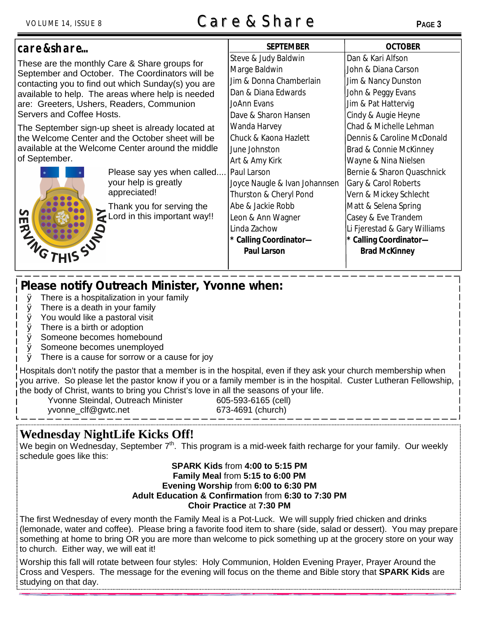# VOLUME 14, ISSUE 8 **Care & Share <sup>P</sup>AGE <sup>3</sup>**

| care & share                                                                                                                                                                                                                                                                          |                                                                                                        | <b>SEPTEMBER</b>              | <b>OCTOBER</b>               |  |
|---------------------------------------------------------------------------------------------------------------------------------------------------------------------------------------------------------------------------------------------------------------------------------------|--------------------------------------------------------------------------------------------------------|-------------------------------|------------------------------|--|
| These are the monthly Care & Share groups for<br>September and October. The Coordinators will be<br>contacting you to find out which Sunday(s) you are<br>available to help. The areas where help is needed<br>are: Greeters, Ushers, Readers, Communion<br>Servers and Coffee Hosts. |                                                                                                        | Steve & Judy Baldwin          | Dan & Kari Alfson            |  |
|                                                                                                                                                                                                                                                                                       |                                                                                                        | Marge Baldwin                 | John & Diana Carson          |  |
|                                                                                                                                                                                                                                                                                       |                                                                                                        | Jim & Donna Chamberlain       | Jim & Nancy Dunston          |  |
|                                                                                                                                                                                                                                                                                       |                                                                                                        | Dan & Diana Edwards           | John & Peggy Evans           |  |
|                                                                                                                                                                                                                                                                                       |                                                                                                        | JoAnn Evans                   | Jim & Pat Hattervig          |  |
|                                                                                                                                                                                                                                                                                       |                                                                                                        | Dave & Sharon Hansen          | Cindy & Augie Heyne          |  |
| The September sign-up sheet is already located at                                                                                                                                                                                                                                     |                                                                                                        | Wanda Harvey                  | Chad & Michelle Lehman       |  |
| the Welcome Center and the October sheet will be<br>available at the Welcome Center around the middle<br>of September.                                                                                                                                                                |                                                                                                        | Chuck & Kaona Hazlett         | Dennis & Caroline McDonald   |  |
|                                                                                                                                                                                                                                                                                       |                                                                                                        | June Johnston                 | Brad & Connie McKinney       |  |
|                                                                                                                                                                                                                                                                                       |                                                                                                        | Art & Amy Kirk                | Wayne & Nina Nielsen         |  |
|                                                                                                                                                                                                                                                                                       | Please say yes when called                                                                             | l Paul Larson                 | Bernie & Sharon Quaschnick   |  |
|                                                                                                                                                                                                                                                                                       | your help is greatly                                                                                   | Joyce Naugle & Ivan Johannsen | Gary & Carol Roberts         |  |
|                                                                                                                                                                                                                                                                                       | appreciated!<br>Thank you for serving the<br>Thank you for serving the<br>Lord in this important way!! | Thurston & Cheryl Pond        | Vern & Mickey Schlecht       |  |
|                                                                                                                                                                                                                                                                                       |                                                                                                        | Abe & Jackie Robb             | Matt & Selena Spring         |  |
| n<br>Щ                                                                                                                                                                                                                                                                                |                                                                                                        | Leon & Ann Wagner             | Casey & Eve Trandem          |  |
|                                                                                                                                                                                                                                                                                       |                                                                                                        | Linda Zachow                  | Li Fjerestad & Gary Williams |  |
| <b>PLAIN</b>                                                                                                                                                                                                                                                                          |                                                                                                        | * Calling Coordinator-        | * Calling Coordinator-       |  |
|                                                                                                                                                                                                                                                                                       |                                                                                                        | <b>Paul Larson</b>            | <b>Brad McKinney</b>         |  |
|                                                                                                                                                                                                                                                                                       |                                                                                                        |                               |                              |  |

## **Please notify Outreach Minister, Yvonne when:**

- $\emptyset$  There is a hospitalization in your family
- $\emptyset$  There is a death in your family
- $\emptyset$  You would like a pastoral visit
- $\emptyset$  There is a birth or adoption
- Ø Someone becomes homebound
- Ø Someone becomes unemployed
- $\emptyset$  There is a cause for sorrow or a cause for joy

Hospitals don't notify the pastor that a member is in the hospital, even if they ask your church membership when you arrive. So please let the pastor know if you or a family member is in the hospital. Custer Lutheran Fellowship, the body of Christ, wants to bring you Christ's love in all the seasons of your life.

Yvonne Steindal, Outreach Minister 605-593-6165 (cell) yvonne\_clf@gwtc.net 673-4691 (church)

## **Wednesday NightLife Kicks Off!**

We begin on Wednesday, September  $7<sup>th</sup>$ . This program is a mid-week faith recharge for your family. Our weekly schedule goes like this:

#### **SPARK Kids** from **4:00 to 5:15 PM Family Meal** from **5:15 to 6:00 PM Evening Worship** from **6:00 to 6:30 PM Adult Education & Confirmation** from **6:30 to 7:30 PM Choir Practice** at **7:30 PM**

The first Wednesday of every month the Family Meal is a Pot-Luck. We will supply fried chicken and drinks (lemonade, water and coffee). Please bring a favorite food item to share (side, salad or dessert). You may prepare something at home to bring OR you are more than welcome to pick something up at the grocery store on your way to church. Either way, we will eat it!

Worship this fall will rotate between four styles: Holy Communion, Holden Evening Prayer, Prayer Around the Cross and Vespers. The message for the evening will focus on the theme and Bible story that **SPARK Kids** are studying on that day.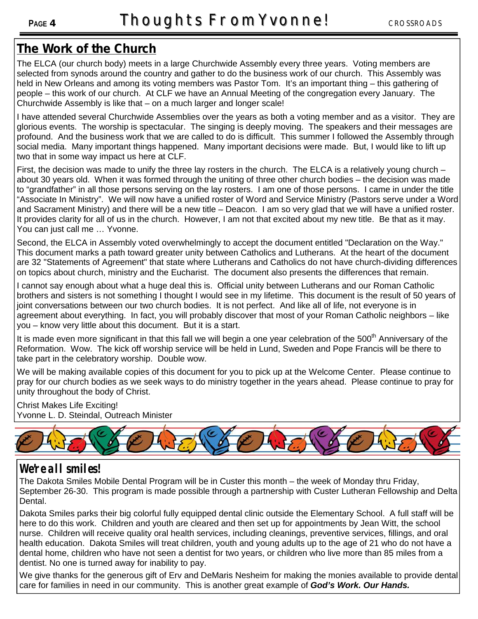# **The Work of the Church**

The ELCA (our church body) meets in a large Churchwide Assembly every three years. Voting members are selected from synods around the country and gather to do the business work of our church. This Assembly was held in New Orleans and among its voting members was Pastor Tom. It's an important thing – this gathering of people – this work of our church. At CLF we have an Annual Meeting of the congregation every January. The Churchwide Assembly is like that – on a much larger and longer scale!

I have attended several Churchwide Assemblies over the years as both a voting member and as a visitor. They are glorious events. The worship is spectacular. The singing is deeply moving. The speakers and their messages are profound. And the business work that we are called to do is difficult. This summer I followed the Assembly through social media. Many important things happened. Many important decisions were made. But, I would like to lift up two that in some way impact us here at CLF.

First, the decision was made to unify the three lay rosters in the church. The ELCA is a relatively young church – about 30 years old. When it was formed through the uniting of three other church bodies – the decision was made to "grandfather" in all those persons serving on the lay rosters. I am one of those persons. I came in under the title "Associate In Ministry". We will now have a unified roster of Word and Service Ministry (Pastors serve under a Word and Sacrament Ministry) and there will be a new title – Deacon. I am so very glad that we will have a unified roster. It provides clarity for all of us in the church. However, I am not that excited about my new title. Be that as it may. You can just call me … Yvonne.

Second, the ELCA in Assembly voted overwhelmingly to accept the document entitled "Declaration on the Way." This document marks a path toward greater unity between Catholics and Lutherans. At the heart of the document are 32 "Statements of Agreement" that state where Lutherans and Catholics do not have church-dividing differences on topics about church, ministry and the Eucharist. The document also presents the differences that remain.

I cannot say enough about what a huge deal this is. Official unity between Lutherans and our Roman Catholic brothers and sisters is not something I thought I would see in my lifetime. This document is the result of 50 years of joint conversations between our two church bodies. It is not perfect. And like all of life, not everyone is in agreement about everything. In fact, you will probably discover that most of your Roman Catholic neighbors – like you – know very little about this document. But it is a start.

It is made even more significant in that this fall we will begin a one year celebration of the 500<sup>th</sup> Anniversary of the Reformation. Wow. The kick off worship service will be held in Lund, Sweden and Pope Francis will be there to take part in the celebratory worship. Double wow.

We will be making available copies of this document for you to pick up at the Welcome Center. Please continue to pray for our church bodies as we seek ways to do ministry together in the years ahead. Please continue to pray for unity throughout the body of Christ.

Christ Makes Life Exciting! Yvonne L. D. Steindal, Outreach Minister



## **We're all smiles!**

The Dakota Smiles Mobile Dental Program will be in Custer this month – the week of Monday thru Friday, September 26-30. This program is made possible through a partnership with Custer Lutheran Fellowship and Delta Dental.

Dakota Smiles parks their big colorful fully equipped dental clinic outside the Elementary School. A full staff will be here to do this work. Children and youth are cleared and then set up for appointments by Jean Witt, the school nurse. Children will receive quality oral health services, including cleanings, preventive services, fillings, and oral health education. Dakota Smiles will treat children, youth and young adults up to the age of 21 who do not have a dental home, children who have not seen a dentist for two years, or children who live more than 85 miles from a dentist. No one is turned away for inability to pay.

We give thanks for the generous gift of Erv and DeMaris Nesheim for making the monies available to provide dental care for families in need in our community. This is another great example of *God's Work. Our Hands.*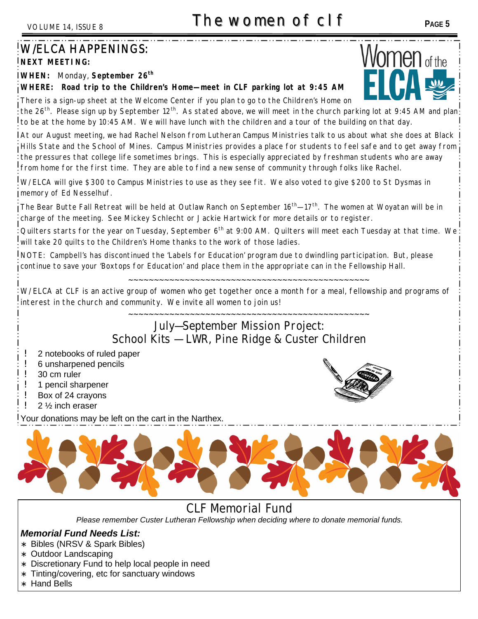# **The women of clf F** PAGE 5

# W/ELCA HAPPENINGS:

**NEXT MEETING:**

**WHEN:** Monday, **September 26th**

#### **WHERE: Road trip to the Children's Home—meet in CLF parking lot at 9:45 AM**

There is a sign-up sheet at the Welcome Center if you plan to go to the Children's Home on the 26<sup>th</sup>. Please sign up by September 12<sup>th</sup>. As stated above, we will meet in the church parking lot at 9:45 AM and plan: to be at the home by 10:45 AM. We will have lunch with the children and a tour of the building on that day.

At our August meeting, we had Rachel Nelson from Lutheran Campus Ministries talk to us about what she does at Black Hills State and the School of Mines. Campus Ministries provides a place for students to feel safe and to get away from the pressures that college life sometimes brings. This is especially appreciated by freshman students who are away from home for the first time. They are able to find a new sense of community through folks like Rachel.

W/ELCA will give \$300 to Campus Ministries to use as they see fit. We also voted to give \$200 to St Dysmas in memory of Ed Nesselhuf.

The Bear Butte Fall Retreat will be held at Outlaw Ranch on September 16<sup>th</sup>—17<sup>th</sup>. The women at Woyatan will be in charge of the meeting. See Mickey Schlecht or Jackie Hartwick for more details or to register.

Quilters starts for the year on Tuesday, September 6<sup>th</sup> at 9:00 AM. Quilters will meet each Tuesday at that time. We will take 20 quilts to the Children's Home thanks to the work of those ladies.

NOTE: Campbell's has discontinued the 'Labels for Education' program due to dwindling participation. But, please continue to save your 'Boxtops for Education' and place them in the appropriate can in the Fellowship Hall.

~~~~~~~~~~~~~~~~~~~~~~~~~~~~~~~~~~~~~~~~~~~~~~~

W/ELCA at CLF is an active group of women who get together once a month for a meal, fellowship and programs of interest in the church and community. We invite all women to join us!

#### ~~~~~~~~~~~~~~~~~~~~~~~~~~~~~~~~~~~~~~~~~~~~~~~ **July—September Mission Project: School Kits — LWR, Pine Ridge & Custer Children**

- 2 notebooks of ruled paper
- 6 unsharpened pencils
- ! 30 cm ruler
- ! 1 pencil sharpener
- Box of 24 crayons
- 2 1/<sub>2</sub> inch eraser

Your donations may be left on the cart in the Narthex.



**CLF Memorial Fund**

*Please remember Custer Lutheran Fellowship when deciding where to donate memorial funds.*

#### *Memorial Fund Needs List:*

- ∗ Bibles (NRSV & Spark Bibles)
- ∗ Outdoor Landscaping
- ∗ Discretionary Fund to help local people in need
- ∗ Tinting/covering, etc for sanctuary windows
- ∗ Hand Bells



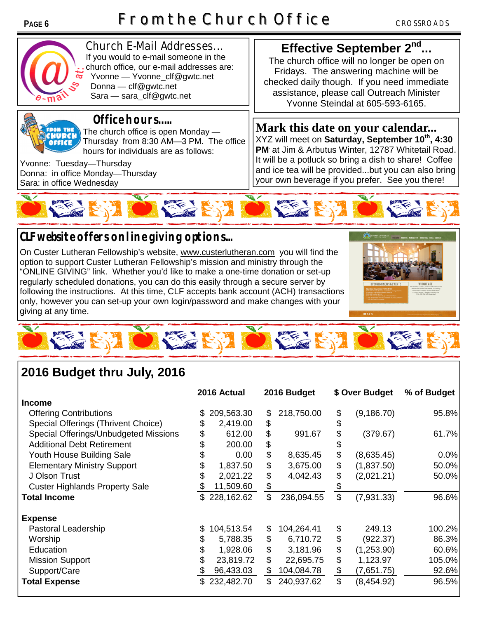

**Church E-Mail Addresses...** If you would to e-mail someone in the church office, our e-mail addresses are: Yvonne — Yvonne\_clf@gwtc.net Donna — clf@gwtc.net Sara — sara\_clf@gwtc.net



#### **Office hours…..**

The church office is open Monday — Thursday from 8:30 AM—3 PM. The office hours for individuals are as follows:

Yvonne: Tuesday—Thursday Donna: in office Monday—Thursday Sara: in office Wednesday

## **Effective September 2nd ...**

The church office will no longer be open on Fridays. The answering machine will be checked daily though. If you need immediate assistance, please call Outreach Minister Yvonne Steindal at 605-593-6165.

**Mark this date on your calendar...** XYZ will meet on **Saturday, September 10th, 4:30 PM**. at Jim & Arbutus Winter, 12787 Whitetail Road. It will be a potluck so bring a dish to share! Coffee and ice tea will be provided...but you can also bring your own beverage if you prefer. See you there!



# **CLF website offers online giving options...**

On Custer Lutheran Fellowship's website, www.custerlutheran.com you will find the option to support Custer Lutheran Fellowship's mission and ministry through the "ONLINE GIVING" link. Whether you'd like to make a one-time donation or set-up regularly scheduled donations, you can do this easily through a secure server by following the instructions. At this time, CLF accepts bank account (ACH) transactions only, however you can set-up your own login/password and make changes with your giving at any time.





# **2016 Budget thru July, 2016**

|                                       |    | 2016 Actual  |                | 2016 Budget |               | \$ Over Budget | % of Budget |
|---------------------------------------|----|--------------|----------------|-------------|---------------|----------------|-------------|
| <b>Income</b>                         |    |              |                |             |               |                |             |
| <b>Offering Contributions</b>         | S. | 209,563.30   | \$             | 218,750.00  | \$            | (9, 186.70)    | 95.8%       |
| Special Offerings (Thrivent Choice)   |    | 2,419.00     | \$             |             | \$            |                |             |
| Special Offerings/Unbudgeted Missions |    | 612.00       | \$             | 991.67      | \$            | (379.67)       | 61.7%       |
| <b>Additional Debt Retirement</b>     |    | 200.00       | \$             |             |               |                |             |
| Youth House Building Sale             |    | 0.00         | \$             | 8,635.45    | \$            | (8,635.45)     | 0.0%        |
| <b>Elementary Ministry Support</b>    |    | 1,837.50     | \$             | 3,675.00    | \$            | (1,837.50)     | 50.0%       |
| J Olson Trust                         |    | 2,021.22     | \$             | 4,042.43    | \$            | (2,021.21)     | 50.0%       |
| <b>Custer Highlands Property Sale</b> | S  | 11,509.60    | \$             |             |               |                |             |
| <b>Total Income</b>                   |    | \$228,162.62 | $\mathfrak{S}$ | 236,094.55  | \$            | (7,931.33)     | 96.6%       |
| <b>Expense</b>                        |    |              |                |             |               |                |             |
| Pastoral Leadership                   | \$ | 104,513.54   | \$             | 104,264.41  | \$            | 249.13         | 100.2%      |
| Worship                               | \$ | 5,788.35     | \$             | 6,710.72    | \$            | (922.37)       | 86.3%       |
| Education                             | \$ | 1,928.06     | \$             | 3,181.96    | \$            | (1,253.90)     | 60.6%       |
| <b>Mission Support</b>                | \$ | 23,819.72    | \$             | 22,695.75   | \$            | 1,123.97       | 105.0%      |
| Support/Care                          | \$ | 96,433.03    | \$             | 104,084.78  | \$            | (7,651.75)     | 92.6%       |
| <b>Total Expense</b>                  |    | \$232,482.70 | $\mathfrak{L}$ | 240,937.62  | $\mathsf{\$}$ | (8,454.92)     | 96.5%       |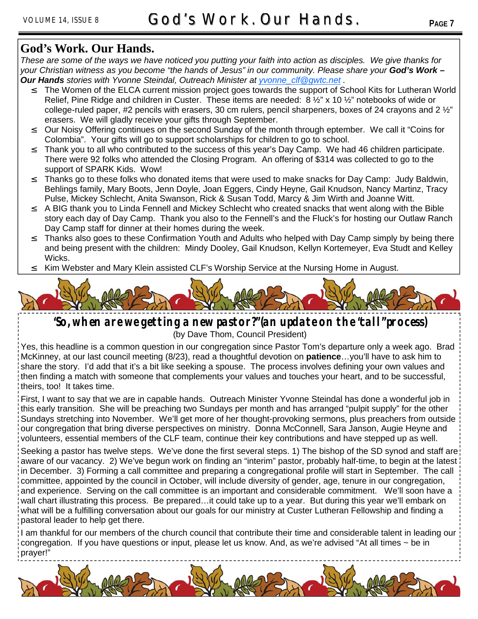## **God's Work. Our Hands.**

*These are some of the ways we have noticed you putting your faith into action as disciples. We give thanks for your Christian witness as you become "the hands of Jesus" in our community. Please share your God's Work – Our Hands stories with Yvonne Steindal, Outreach Minister at yvonne\_clf@gwtc.net .*

- The Women of the ELCA current mission project goes towards the support of School Kits for Lutheran World Relief, Pine Ridge and children in Custer. These items are needed: 8 1/2" x 10 1/2" notebooks of wide or college-ruled paper, #2 pencils with erasers, 30 cm rulers, pencil sharpeners, boxes of 24 crayons and 2  $\frac{1}{2}$ " erasers. We will gladly receive your gifts through September.
- <sup>2</sup> Our Noisy Offering continues on the second Sunday of the month through eptember. We call it "Coins for Colombia". Your gifts will go to support scholarships for children to go to school.
- Thank you to all who contributed to the success of this year's Day Camp. We had 46 children participate. There were 92 folks who attended the Closing Program. An offering of \$314 was collected to go to the support of SPARK Kids. Wow!
- $\degree$  Thanks go to these folks who donated items that were used to make snacks for Day Camp: Judy Baldwin, Behlings family, Mary Boots, Jenn Doyle, Joan Eggers, Cindy Heyne, Gail Knudson, Nancy Martinz, Tracy Pulse, Mickey Schlecht, Anita Swanson, Rick & Susan Todd, Marcy & Jim Wirth and Joanne Witt.
- $\degree$  A BIG thank you to Linda Fennell and Mickey Schlecht who created snacks that went along with the Bible story each day of Day Camp. Thank you also to the Fennell's and the Fluck's for hosting our Outlaw Ranch Day Camp staff for dinner at their homes during the week.
- Thanks also goes to these Confirmation Youth and Adults who helped with Day Camp simply by being there and being present with the children: Mindy Dooley, Gail Knudson, Kellyn Kortemeyer, Eva Studt and Kelley Wicks.
- $\frac{2}{1}$  Kim Webster and Mary Klein assisted CLF's Worship Service at the Nursing Home in August.



# **"So, when are we getting a new pastor?" (an update on the "call" process)**

(by Dave Thom, Council President)

Yes, this headline is a common question in our congregation since Pastor Tom's departure only a week ago. Brad McKinney, at our last council meeting (8/23), read a thoughtful devotion on **patience**…you'll have to ask him to share the story. I'd add that it's a bit like seeking a spouse. The process involves defining your own values and then finding a match with someone that complements your values and touches your heart, and to be successful, theirs, too! It takes time.

First, I want to say that we are in capable hands. Outreach Minister Yvonne Steindal has done a wonderful job in this early transition. She will be preaching two Sundays per month and has arranged "pulpit supply" for the other Sundays stretching into November. We'll get more of her thought-provoking sermons, plus preachers from outside our congregation that bring diverse perspectives on ministry. Donna McConnell, Sara Janson, Augie Heyne and volunteers, essential members of the CLF team, continue their key contributions and have stepped up as well.

Seeking a pastor has twelve steps. We've done the first several steps. 1) The bishop of the SD synod and staff are aware of our vacancy. 2) We've begun work on finding an "interim" pastor, probably half-time, to begin at the latest in December. 3) Forming a call committee and preparing a congregational profile will start in September. The call committee, appointed by the council in October, will include diversity of gender, age, tenure in our congregation, and experience. Serving on the call committee is an important and considerable commitment. We'll soon have a wall chart illustrating this process. Be prepared…it could take up to a year. But during this year we'll embark on what will be a fulfilling conversation about our goals for our ministry at Custer Lutheran Fellowship and finding a pastoral leader to help get there.

I am thankful for our members of the church council that contribute their time and considerable talent in leading our congregation. If you have questions or input, please let us know. And, as we're advised "At all times ~ be in prayer!"

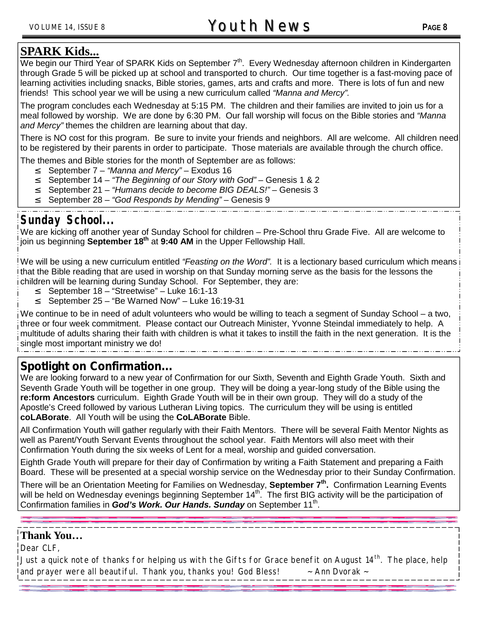We begin our Third Year of SPARK Kids on September  $7<sup>th</sup>$ . Every Wednesday afternoon children in Kindergarten through Grade 5 will be picked up at school and transported to church. Our time together is a fast-moving pace of learning activities including snacks, Bible stories, games, arts and crafts and more. There is lots of fun and new friends! This school year we will be using a new curriculum called *"Manna and Mercy".*

The program concludes each Wednesday at 5:15 PM. The children and their families are invited to join us for a meal followed by worship. We are done by 6:30 PM. Our fall worship will focus on the Bible stories and *"Manna and Mercy"* themes the children are learning about that day.

There is NO cost for this program. Be sure to invite your friends and neighbors. All are welcome. All children need to be registered by their parents in order to participate. Those materials are available through the church office.

The themes and Bible stories for the month of September are as follows:

- ² September 7 *"Manna and Mercy"* Exodus 16
- <sup>2</sup> September 14 *"The Beginning of our Story with God"* Genesis 1 & 2<br><sup>2</sup> September 21 *"Humans decide to become BIG DEALS!"* Genesis 3
- <sup>2</sup> September 21 *"Humans decide to become BIG DEALS!"* Genesis 3<br><sup>2</sup> September 28 "God Responds by Mending" Genesis 9
- ² September 28 *"God Responds by Mending"* Genesis 9

#### Sunday School

We are kicking off another year of Sunday School for children – Pre-School thru Grade Five. All are welcome to join us beginning **September 18th** at **9:40 AM** in the Upper Fellowship Hall.

We will be using a new curriculum entitled *"Feasting on the Word".* It is a lectionary based curriculum which means that the Bible reading that are used in worship on that Sunday morning serve as the basis for the lessons the children will be learning during Sunday School. For September, they are:

- September 18 "Streetwise" Luke 16:1-13
- <sup>2</sup> September 25 "Be Warned Now" Luke 16:19-31

We continue to be in need of adult volunteers who would be willing to teach a segment of Sunday School – a two, three or four week commitment. Please contact our Outreach Minister, Yvonne Steindal immediately to help. A multitude of adults sharing their faith with children is what it takes to instill the faith in the next generation. It is the single most important ministry we do!

#### **Spotlight on Confirmation...**

We are looking forward to a new year of Confirmation for our Sixth, Seventh and Eighth Grade Youth. Sixth and Seventh Grade Youth will be together in one group. They will be doing a year-long study of the Bible using the **re:form Ancestors** curriculum. Eighth Grade Youth will be in their own group. They will do a study of the Apostle's Creed followed by various Lutheran Living topics. The curriculum they will be using is entitled **coLABorate**. All Youth will be using the **CoLABorate** Bible.

All Confirmation Youth will gather regularly with their Faith Mentors. There will be several Faith Mentor Nights as well as Parent/Youth Servant Events throughout the school year. Faith Mentors will also meet with their Confirmation Youth during the six weeks of Lent for a meal, worship and guided conversation.

Eighth Grade Youth will prepare for their day of Confirmation by writing a Faith Statement and preparing a Faith Board. These will be presented at a special worship service on the Wednesday prior to their Sunday Confirmation.

There will be an Orientation Meeting for Families on Wednesday, **September 7th .** Confirmation Learning Events will be held on Wednesday evenings beginning September 14<sup>th</sup>. The first BIG activity will be the participation of Confirmation families in God's Work. Our Hands. Sunday on September 11<sup>th</sup>.

#### **Thank You…**

Dear CLF,

Just a quick note of thanks for helping us with the Gifts for Grace benefit on August 14<sup>th</sup>. The place, help and prayer were all beautiful. Thank you, thanks you! God Bless!  $\sim$  Ann Dvorak  $\sim$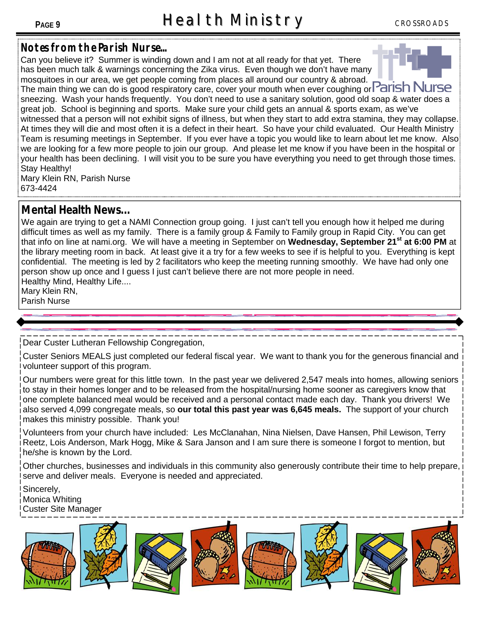#### **Notes from the Parish Nurse...**

Can you believe it? Summer is winding down and I am not at all ready for that yet. There has been much talk & warnings concerning the Zika virus. Even though we don't have many mosquitoes in our area, we get people coming from places all around our country & abroad. The main thing we can do is good respiratory care, cover your mouth when ever coughing or **Parish N** sneezing. Wash your hands frequently. You don't need to use a sanitary solution, good old soap & water does a great job. School is beginning and sports. Make sure your child gets an annual & sports exam, as we've witnessed that a person will not exhibit signs of illness, but when they start to add extra stamina, they may collapse. At times they will die and most often it is a defect in their heart. So have your child evaluated. Our Health Ministry Team is resuming meetings in September. If you ever have a topic you would like to learn about let me know. Also

we are looking for a few more people to join our group. And please let me know if you have been in the hospital or your health has been declining. I will visit you to be sure you have everything you need to get through those times. Stay Healthy!

Mary Klein RN, Parish Nurse 673-4424

#### **Mental Health News...**

We again are trying to get a NAMI Connection group going. I just can't tell you enough how it helped me during difficult times as well as my family. There is a family group & Family to Family group in Rapid City. You can get that info on line at nami.org. We will have a meeting in September on **Wednesday, September 21st at 6:00 PM** at the library meeting room in back. At least give it a try for a few weeks to see if is helpful to you. Everything is kept confidential. The meeting is led by 2 facilitators who keep the meeting running smoothly. We have had only one person show up once and I guess I just can't believe there are not more people in need. Healthy Mind, Healthy Life....

Mary Klein RN, Parish Nurse

Dear Custer Lutheran Fellowship Congregation,

Custer Seniors MEALS just completed our federal fiscal year. We want to thank you for the generous financial and volunteer support of this program.

Our numbers were great for this little town. In the past year we delivered 2,547 meals into homes, allowing seniors to stay in their homes longer and to be released from the hospital/nursing home sooner as caregivers know that one complete balanced meal would be received and a personal contact made each day. Thank you drivers! We also served 4,099 congregate meals, so **our total this past year was 6,645 meals.** The support of your church makes this ministry possible. Thank you!

Volunteers from your church have included: Les McClanahan, Nina Nielsen, Dave Hansen, Phil Lewison, Terry Reetz, Lois Anderson, Mark Hogg, Mike & Sara Janson and I am sure there is someone I forgot to mention, but he/she is known by the Lord.

Other churches, businesses and individuals in this community also generously contribute their time to help prepare, serve and deliver meals. Everyone is needed and appreciated.

Sincerely, Monica Whiting Custer Site Manager

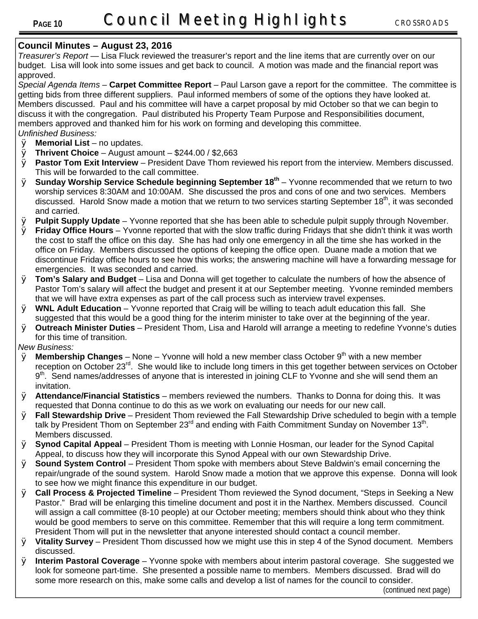#### **Council Minutes – August 23, 2016**

*Treasurer's Report* — Lisa Fluck reviewed the treasurer's report and the line items that are currently over on our budget. Lisa will look into some issues and get back to council. A motion was made and the financial report was approved.

*Special Agenda Items –* **Carpet Committee Report** – Paul Larson gave a report for the committee. The committee is getting bids from three different suppliers. Paul informed members of some of the options they have looked at. Members discussed. Paul and his committee will have a carpet proposal by mid October so that we can begin to discuss it with the congregation. Paul distributed his Property Team Purpose and Responsibilities document, members approved and thanked him for his work on forming and developing this committee. *Unfinished Business:*

- Ø **Memorial List** no updates.
- Ø **Thrivent Choice** August amount \$244.00 / \$2,663
- Ø **Pastor Tom Exit Interview** President Dave Thom reviewed his report from the interview. Members discussed. This will be forwarded to the call committee.
- Ø **Sunday Worship Service Schedule beginning September 18th** Yvonne recommended that we return to two worship services 8:30AM and 10:00AM. She discussed the pros and cons of one and two services. Members discussed. Harold Snow made a motion that we return to two services starting September 18<sup>th</sup>, it was seconded and carried.
- Ø **Pulpit Supply Update** Yvonne reported that she has been able to schedule pulpit supply through November.
- Ø **Friday Office Hours** Yvonne reported that with the slow traffic during Fridays that she didn't think it was worth the cost to staff the office on this day. She has had only one emergency in all the time she has worked in the office on Friday. Members discussed the options of keeping the office open. Duane made a motion that we discontinue Friday office hours to see how this works; the answering machine will have a forwarding message for emergencies. It was seconded and carried.
- Ø **Tom's Salary and Budget** Lisa and Donna will get together to calculate the numbers of how the absence of Pastor Tom's salary will affect the budget and present it at our September meeting. Yvonne reminded members that we will have extra expenses as part of the call process such as interview travel expenses.
- Ø **WNL Adult Education** Yvonne reported that Craig will be willing to teach adult education this fall. She suggested that this would be a good thing for the interim minister to take over at the beginning of the year.
- Ø **Outreach Minister Duties** President Thom, Lisa and Harold will arrange a meeting to redefine Yvonne's duties for this time of transition.

*New Business:*

- $\varnothing$  **Membership Changes** None Yvonne will hold a new member class October 9<sup>th</sup> with a new member reception on October 23<sup>rd</sup>. She would like to include long timers in this get together between services on October 9<sup>th</sup>. Send names/addresses of anyone that is interested in joining CLF to Yvonne and she will send them an invitation.
- Ø **Attendance/Financial Statistics** members reviewed the numbers. Thanks to Donna for doing this. It was requested that Donna continue to do this as we work on evaluating our needs for our new call.
- Ø **Fall Stewardship Drive**  President Thom reviewed the Fall Stewardship Drive scheduled to begin with a temple talk by President Thom on September 23<sup>rd</sup> and ending with Faith Commitment Sunday on November 13<sup>th</sup>. Members discussed.
- Ø **Synod Capital Appeal** President Thom is meeting with Lonnie Hosman, our leader for the Synod Capital Appeal, to discuss how they will incorporate this Synod Appeal with our own Stewardship Drive.
- Ø **Sound System Control** President Thom spoke with members about Steve Baldwin's email concerning the repair/ungrade of the sound system. Harold Snow made a motion that we approve this expense. Donna will look to see how we might finance this expenditure in our budget.
- Ø **Call Process & Projected Timeline** President Thom reviewed the Synod document, "Steps in Seeking a New Pastor." Brad will be enlarging this timeline document and post it in the Narthex. Members discussed. Council will assign a call committee (8-10 people) at our October meeting; members should think about who they think would be good members to serve on this committee. Remember that this will require a long term commitment. President Thom will put in the newsletter that anyone interested should contact a council member.
- Ø **Vitality Survey** President Thom discussed how we might use this in step 4 of the Synod document. Members discussed.
- Ø **Interim Pastoral Coverage** Yvonne spoke with members about interim pastoral coverage. She suggested we look for someone part-time. She presented a possible name to members. Members discussed. Brad will do some more research on this, make some calls and develop a list of names for the council to consider.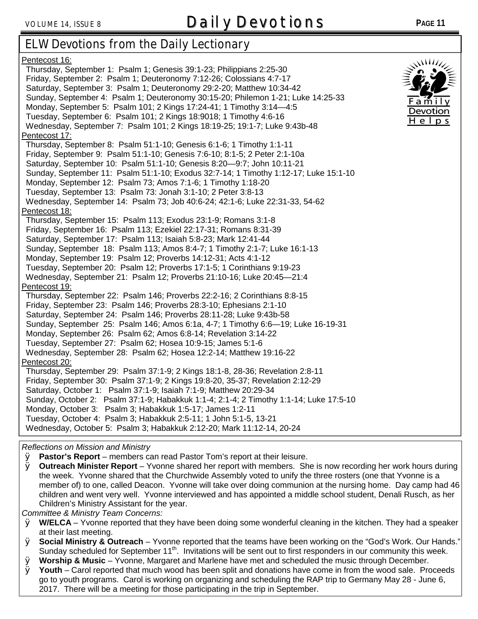# VOLUME 14, ISSUE 8 **Daily Devotions <sup>P</sup>AGE <sup>11</sup>**

## **ELW Devotions from the Daily Lectionary**

| Pentecost 16:<br>Thursday, September 1: Psalm 1; Genesis 39:1-23; Philippians 2:25-30<br>Friday, September 2: Psalm 1; Deuteronomy 7:12-26; Colossians 4:7-17<br>Saturday, September 3: Psalm 1; Deuteronomy 29:2-20; Matthew 10:34-42<br>Sunday, September 4: Psalm 1; Deuteronomy 30:15-20; Philemon 1-21; Luke 14:25-33<br>Monday, September 5: Psalm 101; 2 Kings 17:24-41; 1 Timothy 3:14-4:5<br>Tuesday, September 6: Psalm 101; 2 Kings 18:9018; 1 Timothy 4:6-16<br>Wednesday, September 7: Psalm 101; 2 Kings 18:19-25; 19:1-7; Luke 9:43b-48<br>Pentecost 17:<br>Thursday, September 8: Psalm 51:1-10; Genesis 6:1-6; 1 Timothy 1:1-11<br>Friday, September 9: Psalm 51:1-10; Genesis 7:6-10; 8:1-5; 2 Peter 2:1-10a<br>Saturday, September 10: Psalm 51:1-10; Genesis 8:20-9:7; John 10:11-21<br>Sunday, September 11: Psalm 51:1-10; Exodus 32:7-14; 1 Timothy 1:12-17; Luke 15:1-10              | $\mathcal{M}$<br>Family<br>Devotion<br>$H$ e $ p$ s |
|---------------------------------------------------------------------------------------------------------------------------------------------------------------------------------------------------------------------------------------------------------------------------------------------------------------------------------------------------------------------------------------------------------------------------------------------------------------------------------------------------------------------------------------------------------------------------------------------------------------------------------------------------------------------------------------------------------------------------------------------------------------------------------------------------------------------------------------------------------------------------------------------------------------|-----------------------------------------------------|
| Monday, September 12: Psalm 73; Amos 7:1-6; 1 Timothy 1:18-20                                                                                                                                                                                                                                                                                                                                                                                                                                                                                                                                                                                                                                                                                                                                                                                                                                                 |                                                     |
| Tuesday, September 13: Psalm 73: Jonah 3:1-10; 2 Peter 3:8-13                                                                                                                                                                                                                                                                                                                                                                                                                                                                                                                                                                                                                                                                                                                                                                                                                                                 |                                                     |
| Wednesday, September 14: Psalm 73; Job 40:6-24; 42:1-6; Luke 22:31-33, 54-62                                                                                                                                                                                                                                                                                                                                                                                                                                                                                                                                                                                                                                                                                                                                                                                                                                  |                                                     |
| Pentecost 18:                                                                                                                                                                                                                                                                                                                                                                                                                                                                                                                                                                                                                                                                                                                                                                                                                                                                                                 |                                                     |
| Thursday, September 15: Psalm 113; Exodus 23:1-9; Romans 3:1-8<br>Friday, September 16: Psalm 113; Ezekiel 22:17-31; Romans 8:31-39<br>Saturday, September 17: Psalm 113; Isaiah 5:8-23; Mark 12:41-44<br>Sunday, September 18: Psalm 113; Amos 8:4-7; 1 Timothy 2:1-7; Luke 16:1-13<br>Monday, September 19: Psalm 12; Proverbs 14:12-31; Acts 4:1-12<br>Tuesday, September 20: Psalm 12; Proverbs 17:1-5; 1 Corinthians 9:19-23<br>Wednesday, September 21: Psalm 12; Proverbs 21:10-16; Luke 20:45-21:4<br>Pentecost 19:<br>Thursday, September 22: Psalm 146; Proverbs 22:2-16; 2 Corinthians 8:8-15<br>Friday, September 23: Psalm 146; Proverbs 28:3-10; Ephesians 2:1-10<br>Saturday, September 24: Psalm 146; Proverbs 28:11-28; Luke 9:43b-58<br>Sunday, September 25: Psalm 146; Amos 6:1a, 4-7; 1 Timothy 6:6-19; Luke 16-19-31<br>Monday, September 26: Psalm 62; Amos 6:8-14; Revelation 3:14-22 |                                                     |
| Tuesday, September 27: Psalm 62; Hosea 10:9-15; James 5:1-6                                                                                                                                                                                                                                                                                                                                                                                                                                                                                                                                                                                                                                                                                                                                                                                                                                                   |                                                     |
| Wednesday, September 28: Psalm 62; Hosea 12:2-14; Matthew 19:16-22                                                                                                                                                                                                                                                                                                                                                                                                                                                                                                                                                                                                                                                                                                                                                                                                                                            |                                                     |
| Pentecost 20:                                                                                                                                                                                                                                                                                                                                                                                                                                                                                                                                                                                                                                                                                                                                                                                                                                                                                                 |                                                     |
| Thursday, September 29: Psalm 37:1-9; 2 Kings 18:1-8, 28-36; Revelation 2:8-11<br>Friday, September 30: Psalm 37:1-9; 2 Kings 19:8-20, 35-37; Revelation 2:12-29<br>Saturday, October 1: Psalm 37:1-9; Isaiah 7:1-9; Matthew 20:29-34<br>Sunday, October 2: Psalm 37:1-9; Habakkuk 1:1-4; 2:1-4; 2 Timothy 1:1-14; Luke 17:5-10<br>Monday, October 3: Psalm 3; Habakkuk 1:5-17; James 1:2-11<br>Tuesday, October 4: Psalm 3; Habakkuk 2:5-11; 1 John 5:1-5, 13-21<br>Wednesday, October 5: Psalm 3; Habakkuk 2:12-20; Mark 11:12-14, 20-24                                                                                                                                                                                                                                                                                                                                                                    |                                                     |

#### *Reflections on Mission and Ministry*

Ø **Pastor's Report** – members can read Pastor Tom's report at their leisure.

Ø **Outreach Minister Report** – Yvonne shared her report with members. She is now recording her work hours during the week. Yvonne shared that the Churchwide Assembly voted to unify the three rosters (one that Yvonne is a member of) to one, called Deacon. Yvonne will take over doing communion at the nursing home. Day camp had 46 children and went very well. Yvonne interviewed and has appointed a middle school student, Denali Rusch, as her Children's Ministry Assistant for the year.

*Committee & Ministry Team Concerns:* 

- Ø **W/ELCA** Yvonne reported that they have been doing some wonderful cleaning in the kitchen. They had a speaker at their last meeting.
- Ø **Social Ministry & Outreach** Yvonne reported that the teams have been working on the "God's Work. Our Hands." Sunday scheduled for September 11<sup>th</sup>. Invitations will be sent out to first responders in our community this week.
- Ø **Worship & Music** Yvonne, Margaret and Marlene have met and scheduled the music through December.
- Ø **Youth** Carol reported that much wood has been split and donations have come in from the wood sale. Proceeds go to youth programs. Carol is working on organizing and scheduling the RAP trip to Germany May 28 - June 6, 2017. There will be a meeting for those participating in the trip in September.